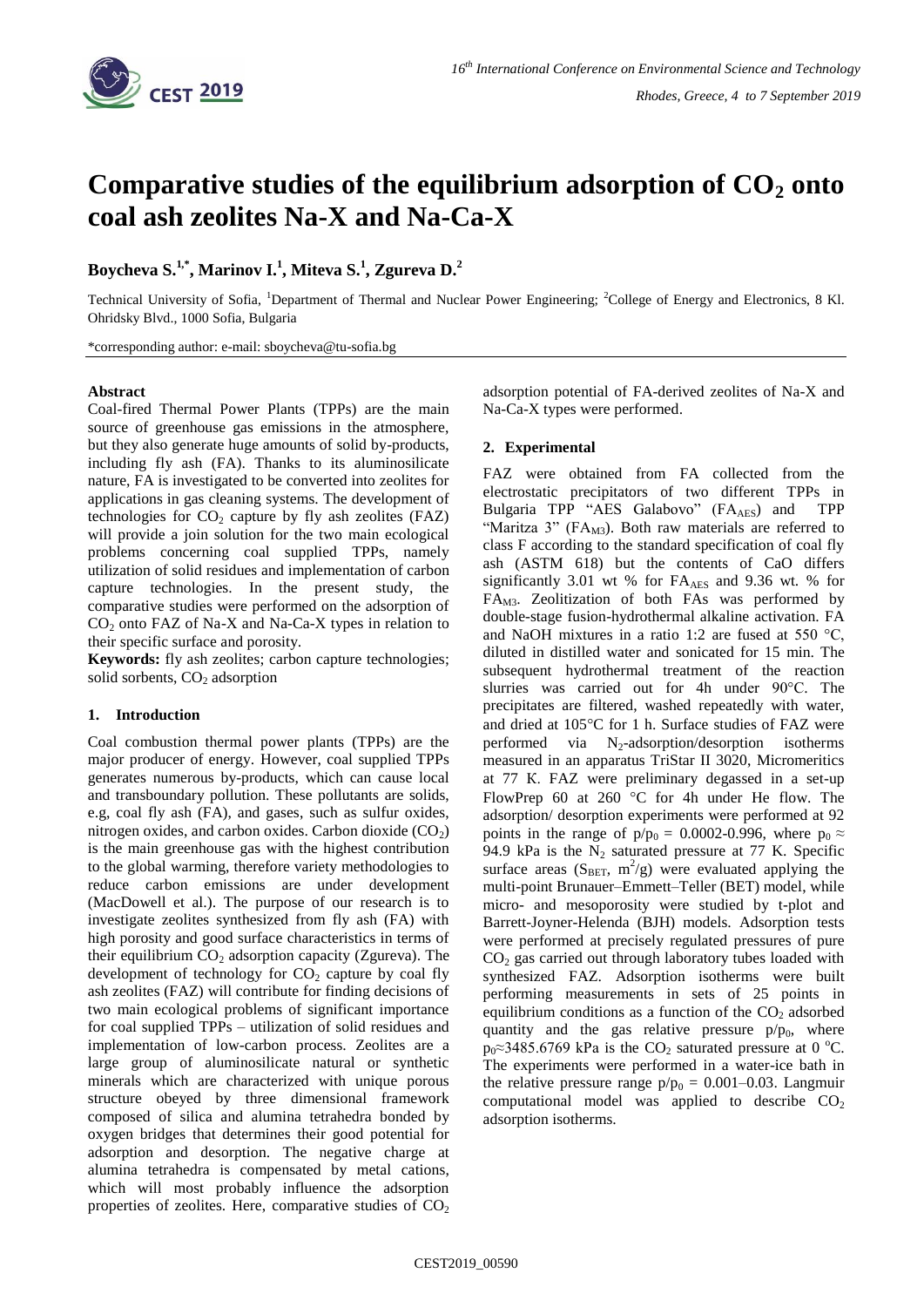

# **Comparative studies of the equilibrium adsorption of CO<sup>2</sup> onto coal ash zeolites Na-X and Na-Ca-X**

## **Boycheva S.1,\* , Marinov I.<sup>1</sup> , Miteva S.<sup>1</sup> , Zgureva D.<sup>2</sup>**

Technical University of Sofia, <sup>1</sup>Department of Thermal and Nuclear Power Engineering; <sup>2</sup>College of Energy and Electronics, 8 Kl. Ohridsky Blvd., 1000 Sofia, Bulgaria

\*corresponding author: e-mail: sboycheva@tu-sofia.bg

#### **Abstract**

Coal-fired Thermal Power Plants (TPPs) are the main source of greenhouse gas emissions in the atmosphere, but they also generate huge amounts of solid by-products, including fly ash (FA). Thanks to its aluminosilicate nature, FA is investigated to be converted into zeolites for applications in gas cleaning systems. The development of technologies for  $CO_2$  capture by fly ash zeolites (FAZ) will provide a join solution for the two main ecological problems concerning coal supplied TPPs, namely utilization of solid residues and implementation of carbon capture technologies. In the present study, the comparative studies were performed on the adsorption of  $CO<sub>2</sub>$  onto FAZ of Na-X and Na-Ca-X types in relation to their specific surface and porosity.

**Keywords:** fly ash zeolites; carbon capture technologies; solid sorbents,  $CO<sub>2</sub>$  adsorption

#### **1. Introduction**

Coal combustion thermal power plants (TPPs) are the major producer of energy. However, coal supplied TPPs generates numerous by-products, which can cause local and transboundary pollution. These pollutants are solids, e.g, coal fly ash (FA), and gases, such as sulfur oxides, nitrogen oxides, and carbon oxides. Carbon dioxide  $(CO<sub>2</sub>)$ is the main greenhouse gas with the highest contribution to the global warming, therefore variety methodologies to reduce carbon emissions are under development (MacDowell et al.). The purpose of our research is to investigate zeolites synthesized from fly ash (FA) with high porosity and good surface characteristics in terms of their equilibrium  $CO<sub>2</sub>$  adsorption capacity (Zgureva). The development of technology for  $CO<sub>2</sub>$  capture by coal fly ash zeolites (FAZ) will contribute for finding decisions of two main ecological problems of significant importance for coal supplied TPPs – utilization of solid residues and implementation of low-carbon process. Zeolites are a large group of aluminosilicate natural or synthetic minerals which are characterized with unique porous structure obeyed by three dimensional framework composed of silica and alumina tetrahedra bonded by oxygen bridges that determines their good potential for adsorption and desorption. The negative charge at alumina tetrahedra is compensated by metal cations, which will most probably influence the adsorption properties of zeolites. Here, comparative studies of  $CO<sub>2</sub>$  adsorption potential of FA-derived zeolites of Na-X and Na-Ca-X types were performed.

#### **2. Experimental**

FAZ were obtained from FA collected from the electrostatic precipitators of two different TPPs in Bulgaria TPP "AES Galabovo" (FA<sub>AES</sub>) and TPP "Maritza 3" ( $FA<sub>M3</sub>$ ). Both raw materials are referred to class F according to the standard specification of coal fly ash (ASTM 618) but the contents of CaO differs significantly 3.01 wt % for  $FA_{AES}$  and 9.36 wt. % for FAM3. Zeolitization of both FAs was performed by double-stage fusion-hydrothermal alkaline activation. FA and NaOH mixtures in a ratio 1:2 are fused at 550 °C, diluted in distilled water and sonicated for 15 min. The subsequent hydrothermal treatment of the reaction slurries was carried out for 4h under 90°C. The precipitates are filtered, washed repeatedly with water, and dried at 105°C for 1 h. Surface studies of FAZ were performed via  $N_2$ -adsorption/desorption isotherms measured in an apparatus TriStar II 3020, Micromeritics at 77 К. FAZ were preliminary degassed in a set-up FlowPrep 60 at 260  $\degree$ C for 4h under He flow. The adsorption/ desorption experiments were performed at 92 points in the range of  $p/p_0 = 0.0002$ -0.996, where  $p_0 \approx$ 94.9 kPa is the  $N_2$  saturated pressure at 77 K. Specific surface areas  $(S<sub>BET</sub>, m<sup>2</sup>/g)$  were evaluated applying the multi-point Brunauer–Emmett–Teller (BET) model, while micro- and mesoporosity were studied by t-plot and Barrett-Joyner-Helenda (BJH) models. Adsorption tests were performed at precisely regulated pressures of pure CO<sup>2</sup> gas carried out through laboratory tubes loaded with synthesized FAZ. Adsorption isotherms were built performing measurements in sets of 25 points in equilibrium conditions as a function of the  $CO<sub>2</sub>$  adsorbed quantity and the gas relative pressure  $p/p_0$ , where  $p_0 \approx 3485.6769$  kPa is the CO<sub>2</sub> saturated pressure at 0 °C. The experiments were performed in a water-ice bath in the relative pressure range  $p/p_0 = 0.001 - 0.03$ . Langmuir computational model was applied to describe  $CO<sub>2</sub>$ adsorption isotherms.